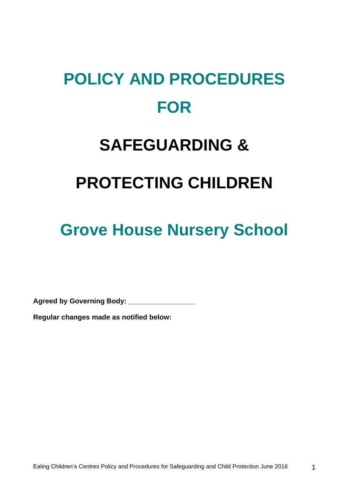# **POLICY AND PROCEDURES FOR**

# **SAFEGUARDING &**

# **PROTECTING CHILDREN**

# **Grove House Nursery School**

**Agreed by Governing Body: \_\_\_\_\_\_\_\_\_\_\_\_\_\_\_\_\_**

**Regular changes made as notified below:**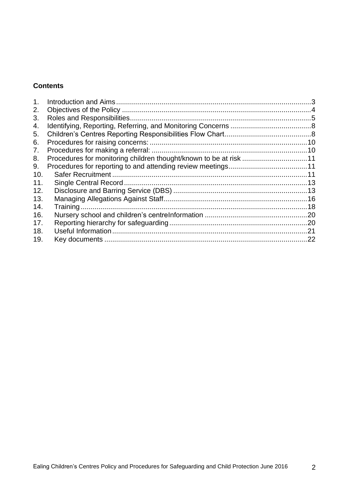# **Contents**

| $\mathbf 1$ . |                                                                   |  |
|---------------|-------------------------------------------------------------------|--|
| 2.            |                                                                   |  |
| 3.            |                                                                   |  |
| 4.            |                                                                   |  |
| 5.            |                                                                   |  |
| 6.            |                                                                   |  |
| 7.            |                                                                   |  |
| 8.            | Procedures for monitoring children thought/known to be at risk 11 |  |
| 9.            |                                                                   |  |
| 10.           |                                                                   |  |
| 11.           |                                                                   |  |
| 12.           |                                                                   |  |
| 13.           |                                                                   |  |
| 14.           |                                                                   |  |
| 16.           |                                                                   |  |
| 17.           |                                                                   |  |
| 18.           |                                                                   |  |
| 19.           |                                                                   |  |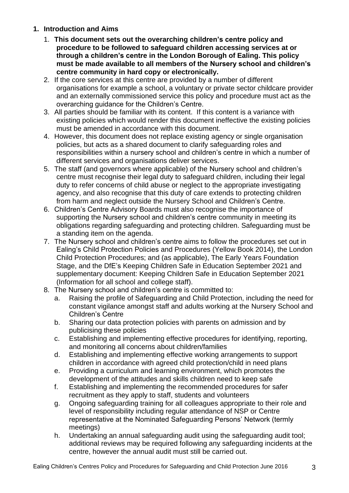- <span id="page-2-0"></span>**1. Introduction and Aims**
	- 1. **This document sets out the overarching children's centre policy and procedure to be followed to safeguard children accessing services at or through a children's centre in the London Borough of Ealing. This policy must be made available to all members of the Nursery school and children's centre community in hard copy or electronically.**
	- 2. If the core services at this centre are provided by a number of different organisations for example a school, a voluntary or private sector childcare provider and an externally commissioned service this policy and procedure must act as the overarching guidance for the Children's Centre.
	- 3. All parties should be familiar with its content. If this content is a variance with existing policies which would render this document ineffective the existing policies must be amended in accordance with this document.
	- 4. However, this document does not replace existing agency or single organisation policies, but acts as a shared document to clarify safeguarding roles and responsibilities within a nursery school and children's centre in which a number of different services and organisations deliver services.
	- 5. The staff (and governors where applicable) of the Nursery school and children's centre must recognise their legal duty to safeguard children, including their legal duty to refer concerns of child abuse or neglect to the appropriate investigating agency, and also recognise that this duty of care extends to protecting children from harm and neglect outside the Nursery School and Children's Centre.
	- 6. Children's Centre Advisory Boards must also recognise the importance of supporting the Nursery school and children's centre community in meeting its obligations regarding safeguarding and protecting children. Safeguarding must be a standing item on the agenda.
	- 7. The Nursery school and children's centre aims to follow the procedures set out in Ealing's Child Protection Policies and Procedures (Yellow Book 2014), the London Child Protection Procedures; and (as applicable), The Early Years Foundation Stage, and the DfE's Keeping Children Safe in Education September 2021 and supplementary document: Keeping Children Safe in Education September 2021 (Information for all school and college staff).
	- 8. The Nursery school and children's centre is committed to:
		- a. Raising the profile of Safeguarding and Child Protection, including the need for constant vigilance amongst staff and adults working at the Nursery School and Children's Centre
		- b. Sharing our data protection policies with parents on admission and by publicising these policies
		- c. Establishing and implementing effective procedures for identifying, reporting, and monitoring all concerns about children/families
		- d. Establishing and implementing effective working arrangements to support children in accordance with agreed child protection/child in need plans
		- e. Providing a curriculum and learning environment, which promotes the development of the attitudes and skills children need to keep safe
		- f. Establishing and implementing the recommended procedures for safer recruitment as they apply to staff, students and volunteers
		- g. Ongoing safeguarding training for all colleagues appropriate to their role and level of responsibility including regular attendance of NSP or Centre representative at the Nominated Safeguarding Persons' Network (termly meetings)
		- h. Undertaking an annual safeguarding audit using the safeguarding audit tool; additional reviews may be required following any safeguarding incidents at the centre, however the annual audit must still be carried out.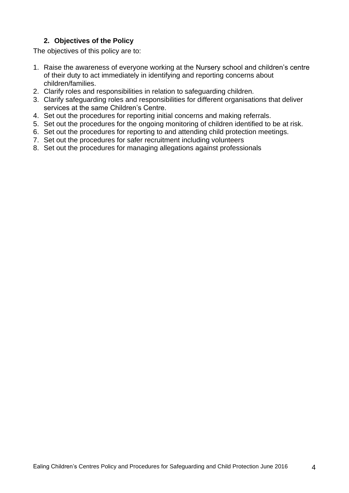# **2. Objectives of the Policy**

<span id="page-3-0"></span>The objectives of this policy are to:

- 1. Raise the awareness of everyone working at the Nursery school and children's centre of their duty to act immediately in identifying and reporting concerns about children/families.
- 2. Clarify roles and responsibilities in relation to safeguarding children.
- 3. Clarify safeguarding roles and responsibilities for different organisations that deliver services at the same Children's Centre.
- 4. Set out the procedures for reporting initial concerns and making referrals.
- 5. Set out the procedures for the ongoing monitoring of children identified to be at risk.
- 6. Set out the procedures for reporting to and attending child protection meetings.
- 7. Set out the procedures for safer recruitment including volunteers
- 8. Set out the procedures for managing allegations against professionals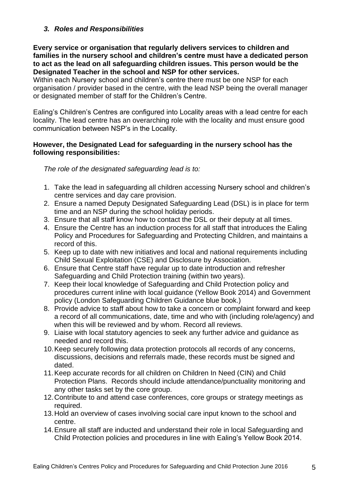# <span id="page-4-0"></span>*3. Roles and Responsibilities*

**Every service or organisation that regularly delivers services to children and families in the nursery school and children's centre must have a dedicated person to act as the lead on all safeguarding children issues. This person would be the Designated Teacher in the school and NSP for other services.** 

Within each Nursery school and children's centre there must be one NSP for each organisation / provider based in the centre, with the lead NSP being the overall manager or designated member of staff for the Children's Centre.

Ealing's Children's Centres are configured into Locality areas with a lead centre for each locality. The lead centre has an overarching role with the locality and must ensure good communication between NSP's in the Locality.

## **However, the Designated Lead for safeguarding in the nursery school has the following responsibilities:**

*The role of the designated safeguarding lead is to:*

- 1. Take the lead in safeguarding all children accessing Nursery school and children's centre services and day care provision.
- 2. Ensure a named Deputy Designated Safeguarding Lead (DSL) is in place for term time and an NSP during the school holiday periods.
- 3. Ensure that all staff know how to contact the DSL or their deputy at all times.
- 4. Ensure the Centre has an induction process for all staff that introduces the Ealing Policy and Procedures for Safeguarding and Protecting Children, and maintains a record of this.
- 5. Keep up to date with new initiatives and local and national requirements including Child Sexual Exploitation (CSE) and Disclosure by Association.
- 6. Ensure that Centre staff have regular up to date introduction and refresher Safeguarding and Child Protection training (within two years).
- 7. Keep their local knowledge of Safeguarding and Child Protection policy and procedures current inline with local guidance (Yellow Book 2014) and Government policy (London Safeguarding Children Guidance blue book.)
- 8. Provide advice to staff about how to take a concern or complaint forward and keep a record of all communications, date, time and who with (including role/agency) and when this will be reviewed and by whom. Record all reviews.
- 9. Liaise with local statutory agencies to seek any further advice and guidance as needed and record this.
- 10.Keep securely following data protection protocols all records of any concerns, discussions, decisions and referrals made, these records must be signed and dated.
- 11.Keep accurate records for all children on Children In Need (CIN) and Child Protection Plans. Records should include attendance/punctuality monitoring and any other tasks set by the core group.
- 12.Contribute to and attend case conferences, core groups or strategy meetings as required.
- 13.Hold an overview of cases involving social care input known to the school and centre.
- 14.Ensure all staff are inducted and understand their role in local Safeguarding and Child Protection policies and procedures in line with Ealing's Yellow Book 2014.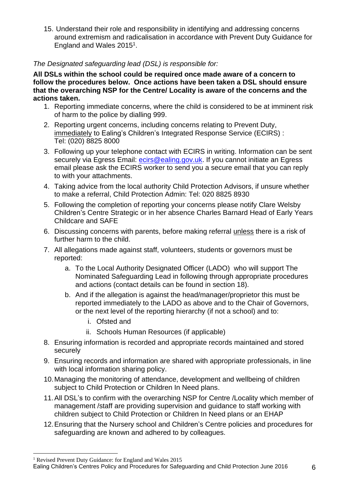15. Understand their role and responsibility in identifying and addressing concerns around extremism and radicalisation in accordance with Prevent Duty Guidance for England and Wales 2015<sup>1</sup> .

# *The Designated safeguarding lead (DSL) is responsible for:*

**All DSLs within the school could be required once made aware of a concern to follow the procedures below. Once actions have been taken a DSL should ensure that the overarching NSP for the Centre/ Locality is aware of the concerns and the actions taken.**

- 1. Reporting immediate concerns, where the child is considered to be at imminent risk of harm to the police by dialling 999.
- 2. Reporting urgent concerns, including concerns relating to Prevent Duty, immediately to Ealing's Children's Integrated Response Service (ECIRS) : Tel: (020) 8825 8000
- 3. Following up your telephone contact with ECIRS in writing. Information can be sent securely via Egress Email: [ecirs@ealing.gov.uk.](mailto:ecirs@ealing.gov.uk) If you cannot initiate an Egress email please ask the ECIRS worker to send you a secure email that you can reply to with your attachments.
- 4. Taking advice from the local authority Child Protection Advisors, if unsure whether to make a referral, Child Protection Admin: Tel: 020 8825 8930
- 5. Following the completion of reporting your concerns please notify Clare Welsby Children's Centre Strategic or in her absence Charles Barnard Head of Early Years Childcare and SAFE
- 6. Discussing concerns with parents, before making referral unless there is a risk of further harm to the child.
- 7. All allegations made against staff, volunteers, students or governors must be reported:
	- a. To the Local Authority Designated Officer (LADO) who will support The Nominated Safeguarding Lead in following through appropriate procedures and actions (contact details can be found in section 18).
	- b. And if the allegation is against the head/manager/proprietor this must be reported immediately to the LADO as above and to the Chair of Governors, or the next level of the reporting hierarchy (if not a school) and to:
		- i. Ofsted and
		- ii. Schools Human Resources (if applicable)
- 8. Ensuring information is recorded and appropriate records maintained and stored securely
- 9. Ensuring records and information are shared with appropriate professionals, in line with local information sharing policy.
- 10.Managing the monitoring of attendance, development and wellbeing of children subject to Child Protection or Children In Need plans.
- 11.All DSL's to confirm with the overarching NSP for Centre /Locality which member of management /staff are providing supervision and guidance to staff working with children subject to Child Protection or Children In Need plans or an EHAP
- 12.Ensuring that the Nursery school and Children's Centre policies and procedures for safeguarding are known and adhered to by colleagues.

<sup>1</sup> Revised Prevent Duty Guidance: for England and Wales 2015

Ealing Children's Centres Policy and Procedures for Safeguarding and Child Protection June 2016 6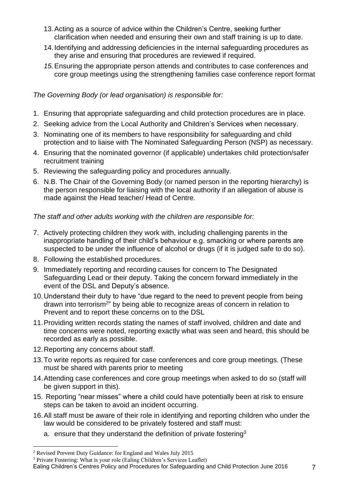- 13.Acting as a source of advice within the Children's Centre, seeking further clarification when needed and ensuring their own and staff training is up to date.
- 14.Identifying and addressing deficiencies in the internal safeguarding procedures as they arise and ensuring that procedures are reviewed if required.
- *15.*Ensuring the appropriate person attends and contributes to case conferences and core group meetings using the strengthening families case conference report format

# *The Governing Body (or lead organisation) is responsible for:*

- 1. Ensuring that appropriate safeguarding and child protection procedures are in place.
- 2. Seeking advice from the Local Authority and Children's Services when necessary.
- 3. Nominating one of its members to have responsibility for safeguarding and child protection and to liaise with The Nominated Safeguarding Person (NSP) as necessary.
- 4. Ensuring that the nominated governor (if applicable) undertakes child protection/safer recruitment training
- 5. Reviewing the safeguarding policy and procedures annually.
- 6. N.B. The Chair of the Governing Body (or named person in the reporting hierarchy) is the person responsible for liaising with the local authority if an allegation of abuse is made against the Head teacher/ Head of Centre.

# *The staff and other adults working with the children are responsible for:*

- 7. Actively protecting children they work with, including challenging parents in the inappropriate handling of their child's behaviour e.g. smacking or where parents are suspected to be under the influence of alcohol or drugs (if it is judged safe to do so).
- 8. Following the established procedures.
- 9. Immediately reporting and recording causes for concern to The Designated Safeguarding Lead or their deputy. Taking the concern forward immediately in the event of the DSL and Deputy's absence.
- 10.Understand their duty to have "due regard to the need to prevent people from being drawn into terrorism<sup>2</sup>" by being able to recognize areas of concern in relation to Prevent and to report these concerns on to the DSL
- 11.Providing written records stating the names of staff involved, children and date and time concerns were noted, reporting exactly what was seen and heard, this should be recorded as early as possible.
- 12.Reporting any concerns about staff.
- 13.To write reports as required for case conferences and core group meetings. (These must be shared with parents prior to meeting
- 14.Attending case conferences and core group meetings when asked to do so (staff will be given support in this).
- 15. Reporting "near misses" where a child could have potentially been at risk to ensure steps can be taken to avoid an incident occurring.
- 16.All staff must be aware of their role in identifying and reporting children who under the law would be considered to be privately fostered and staff must:
	- a. ensure that they understand the definition of private fostering<sup>3</sup>

## Ealing Children's Centres Policy and Procedures for Safeguarding and Child Protection June 2016 7

<sup>2</sup> Revised Prevent Duty Guidance: for England and Wales July 2015

<sup>&</sup>lt;sup>3</sup> Private Fostering: What is your role (Ealing Children's Services Leaflet)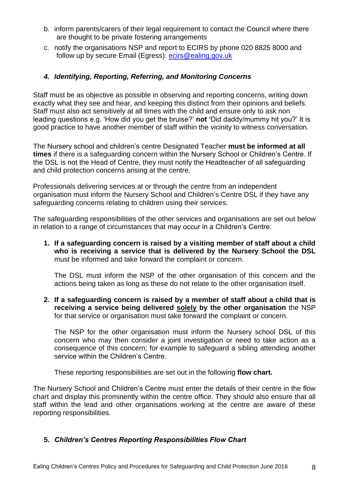- b. inform parents/carers of their legal requirement to contact the Council where there are thought to be private fostering arrangements
- c. notify the organisations NSP and report to ECIRS by phone 020 8825 8000 and follow up by secure Email (Egress): [ecirs@ealing.gov.uk](mailto:ecirs@ealing.gov.uk)

# <span id="page-7-0"></span>*4. Identifying, Reporting, Referring, and Monitoring Concerns*

Staff must be as objective as possible in observing and reporting concerns, writing down exactly what they see and hear, and keeping this distinct from their opinions and beliefs. Staff must also act sensitively at all times with the child and ensure only to ask non leading questions e.g. 'How did you get the bruise?' **not '**Did daddy/mummy hit you?' It is good practice to have another member of staff within the vicinity to witness conversation.

The Nursery school and children's centre Designated Teacher **must be informed at all times** if there is a safeguarding concern within the Nursery School or Children's Centre. If the DSL is not the Head of Centre, they must notify the Headteacher of all safeguarding and child protection concerns arising at the centre.

Professionals delivering services at or through the centre from an independent organisation must inform the Nursery School and Children's Centre DSL if they have any safeguarding concerns relating to children using their services.

The safeguarding responsibilities of the other services and organisations are set out below in relation to a range of circumstances that may occur in a Children's Centre:

**1. If a safeguarding concern is raised by a visiting member of staff about a child who is receiving a service that is delivered by the Nursery School the DSL** must be informed and take forward the complaint or concern.

The DSL must inform the NSP of the other organisation of this concern and the actions being taken as long as these do not relate to the other organisation itself.

**2. If a safeguarding concern is raised by a member of staff about a child that is receiving a service being delivered solely by the other organisation** the NSP for that service or organisation must take forward the complaint or concern.

The NSP for the other organisation must inform the Nursery school DSL of this concern who may then consider a joint investigation or need to take action as a consequence of this concern; for example to safeguard a sibling attending another service within the Children's Centre.

These reporting responsibilities are set out in the following **flow chart.**

The Nursery School and Children's Centre must enter the details of their centre in the flow chart and display this prominently within the centre office. They should also ensure that all staff within the lead and other organisations working at the centre are aware of these reporting responsibilities.

# <span id="page-7-1"></span>**5.** *Children's Centres Reporting Responsibilities Flow Chart*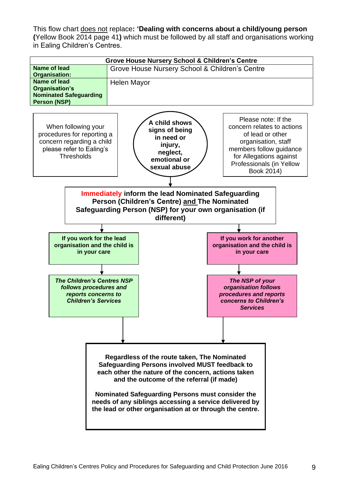This flow chart does not replace**: 'Dealing with concerns about a child/young person (**Yellow Book 2014 page 41**)** which must be followed by all staff and organisations working in Ealing Children's Centres.

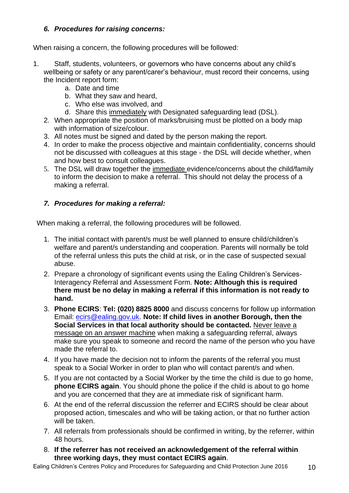# <span id="page-9-0"></span>*6. Procedures for raising concerns:*

When raising a concern, the following procedures will be followed:

- 1. Staff, students, volunteers, or governors who have concerns about any child's wellbeing or safety or any parent/carer's behaviour, must record their concerns, using the Incident report form:
	- a. Date and time
	- b. What they saw and heard,
	- c. Who else was involved, and
	- d. Share this immediately with Designated safeguarding lead (DSL).
	- 2. When appropriate the position of marks/bruising must be plotted on a body map with information of size/colour.
	- 3. All notes must be signed and dated by the person making the report.
	- 4. In order to make the process objective and maintain confidentiality, concerns should not be discussed with colleagues at this stage - the DSL will decide whether, when and how best to consult colleagues.
	- 5. The DSL will draw together the immediate evidence/concerns about the child/family to inform the decision to make a referral. This should not delay the process of a making a referral.

# <span id="page-9-1"></span>*7. Procedures for making a referral:*

When making a referral, the following procedures will be followed.

- 1. The initial contact with parent/s must be well planned to ensure child/children's welfare and parent/s understanding and cooperation. Parents will normally be told of the referral unless this puts the child at risk, or in the case of suspected sexual abuse.
- 2. Prepare a chronology of significant events using the Ealing Children's Services-Interagency Referral and Assessment Form. **Note: Although this is required there must be no delay in making a referral if this information is not ready to hand.**
- 3. **Phone ECIRS**: **Tel: (020) 8825 8000** and discuss concerns for follow up information Email: [ecirs@ealing.gov.uk.](mailto:ecirs@ealing.gov.uk) **Note: If child lives in another Borough, then the Social Services in that local authority should be contacted.** Never leave a message on an answer machine when making a safeguarding referral, always make sure you speak to someone and record the name of the person who you have made the referral to.
- 4. If you have made the decision not to inform the parents of the referral you must speak to a Social Worker in order to plan who will contact parent/s and when.
- 5. If you are not contacted by a Social Worker by the time the child is due to go home, **phone ECIRS again**. You should phone the police if the child is about to go home and you are concerned that they are at immediate risk of significant harm.
- 6. At the end of the referral discussion the referrer and ECIRS should be clear about proposed action, timescales and who will be taking action, or that no further action will be taken.
- 7. All referrals from professionals should be confirmed in writing, by the referrer, within 48 hours.
- 8. **If the referrer has not received an acknowledgement of the referral within three working days, they must contact ECIRS again**.

Ealing Children's Centres Policy and Procedures for Safeguarding and Child Protection June 2016 10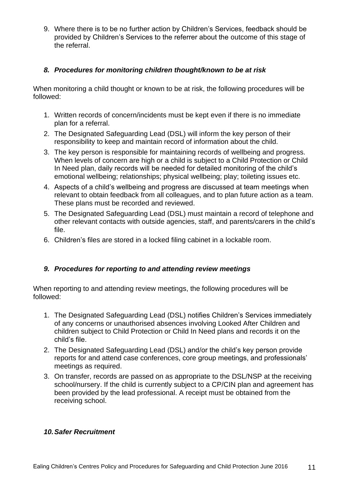9. Where there is to be no further action by Children's Services, feedback should be provided by Children's Services to the referrer about the outcome of this stage of the referral.

# <span id="page-10-0"></span>*8. Procedures for monitoring children thought/known to be at risk*

When monitoring a child thought or known to be at risk, the following procedures will be followed:

- 1. Written records of concern/incidents must be kept even if there is no immediate plan for a referral.
- 2. The Designated Safeguarding Lead (DSL) will inform the key person of their responsibility to keep and maintain record of information about the child.
- 3. The key person is responsible for maintaining records of wellbeing and progress. When levels of concern are high or a child is subject to a Child Protection or Child In Need plan, daily records will be needed for detailed monitoring of the child's emotional wellbeing; relationships; physical wellbeing; play; toileting issues etc.
- 4. Aspects of a child's wellbeing and progress are discussed at team meetings when relevant to obtain feedback from all colleagues, and to plan future action as a team. These plans must be recorded and reviewed.
- 5. The Designated Safeguarding Lead (DSL) must maintain a record of telephone and other relevant contacts with outside agencies, staff, and parents/carers in the child's file.
- 6. Children's files are stored in a locked filing cabinet in a lockable room.

# <span id="page-10-1"></span>*9. Procedures for reporting to and attending review meetings*

When reporting to and attending review meetings, the following procedures will be followed:

- 1. The Designated Safeguarding Lead (DSL) notifies Children's Services immediately of any concerns or unauthorised absences involving Looked After Children and children subject to Child Protection or Child In Need plans and records it on the child's file.
- 2. The Designated Safeguarding Lead (DSL) and/or the child's key person provide reports for and attend case conferences, core group meetings, and professionals' meetings as required.
- 3. On transfer, records are passed on as appropriate to the DSL/NSP at the receiving school/nursery. If the child is currently subject to a CP/CIN plan and agreement has been provided by the lead professional. A receipt must be obtained from the receiving school.

## <span id="page-10-2"></span>*10.Safer Recruitment*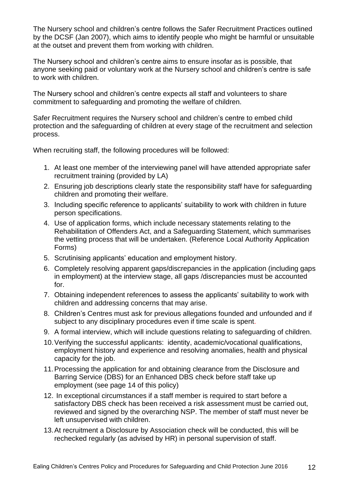The Nursery school and children's centre follows the Safer Recruitment Practices outlined by the DCSF (Jan 2007), which aims to identify people who might be harmful or unsuitable at the outset and prevent them from working with children.

The Nursery school and children's centre aims to ensure insofar as is possible, that anyone seeking paid or voluntary work at the Nursery school and children's centre is safe to work with children.

The Nursery school and children's centre expects all staff and volunteers to share commitment to safeguarding and promoting the welfare of children.

Safer Recruitment requires the Nursery school and children's centre to embed child protection and the safeguarding of children at every stage of the recruitment and selection process.

When recruiting staff, the following procedures will be followed:

- 1. At least one member of the interviewing panel will have attended appropriate safer recruitment training (provided by LA)
- 2. Ensuring job descriptions clearly state the responsibility staff have for safeguarding children and promoting their welfare.
- 3. Including specific reference to applicants' suitability to work with children in future person specifications.
- 4. Use of application forms, which include necessary statements relating to the Rehabilitation of Offenders Act, and a Safeguarding Statement, which summarises the vetting process that will be undertaken. (Reference Local Authority Application Forms)
- 5. Scrutinising applicants' education and employment history.
- 6. Completely resolving apparent gaps/discrepancies in the application (including gaps in employment) at the interview stage, all gaps /discrepancies must be accounted for.
- 7. Obtaining independent references to assess the applicants' suitability to work with children and addressing concerns that may arise.
- 8. Children's Centres must ask for previous allegations founded and unfounded and if subject to any disciplinary procedures even if time scale is spent.
- 9. A formal interview, which will include questions relating to safeguarding of children.
- 10.Verifying the successful applicants: identity, academic/vocational qualifications, employment history and experience and resolving anomalies, health and physical capacity for the job.
- 11.Processing the application for and obtaining clearance from the Disclosure and Barring Service (DBS) for an Enhanced DBS check before staff take up employment (see page 14 of this policy)
- 12. In exceptional circumstances if a staff member is required to start before a satisfactory DBS check has been received a risk assessment must be carried out, reviewed and signed by the overarching NSP. The member of staff must never be left unsupervised with children.
- 13.At recruitment a Disclosure by Association check will be conducted, this will be rechecked regularly (as advised by HR) in personal supervision of staff.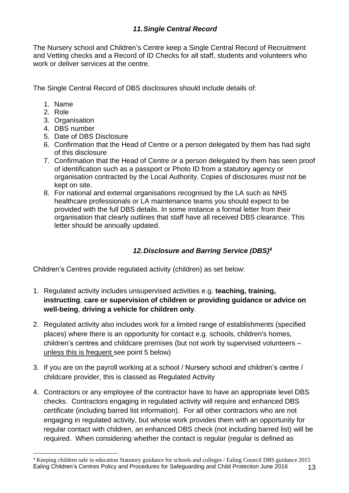<span id="page-12-0"></span>The Nursery school and Children's Centre keep a Single Central Record of Recruitment and Vetting checks and a Record of ID Checks for all staff, students and volunteers who work or deliver services at the centre.

The Single Central Record of DBS disclosures should include details of:

- 1. Name
- 2. Role
- 3. Organisation
- 4. DBS number
- 5. Date of DBS Disclosure
- 6. Confirmation that the Head of Centre or a person delegated by them has had sight of this disclosure
- 7. Confirmation that the Head of Centre or a person delegated by them has seen proof of identification such as a passport or Photo ID from a statutory agency or organisation contracted by the Local Authority. Copies of disclosures must not be kept on site.
- 8. For national and external organisations recognised by the LA such as NHS healthcare professionals or LA maintenance teams you should expect to be provided with the full DBS details. In some instance a formal letter from their organisation that clearly outlines that staff have all received DBS clearance. This letter should be annually updated.

# *12.Disclosure and Barring Service (DBS)<sup>4</sup>*

<span id="page-12-1"></span>Children's Centres provide regulated activity (children) as set below:

- 1. Regulated activity includes unsupervised activities e.g. **teaching, training, instructing**, **care or supervision of children or providing guidance or advice on well-being**, **driving a vehicle for children only**.
- 2. Regulated activity also includes work for a limited range of establishments (specified places) where there is an opportunity for contact e.g. schools, children's homes, children's centres and childcare premises (but not work by supervised volunteers – unless this is frequent see point 5 below)
- 3. If you are on the payroll working at a school / Nursery school and children's centre / childcare provider, this is classed as Regulated Activity
- 4. Contractors or any employee of the contractor have to have an appropriate level DBS checks. Contractors engaging in regulated activity will require and enhanced DBS certificate (including barred list information). For all other contractors who are not engaging in regulated activity, but whose work provides them with an opportunity for regular contact with children, an enhanced DBS check (not including barred list) will be required. When considering whether the contact is regular (regular is defined as

Ealing Children's Centres Policy and Procedures for Safeguarding and Child Protection June 2016 13 <sup>4</sup> Keeping children safe in education Statutory guidance for schools and colleges / Ealing Council DBS guidance 2015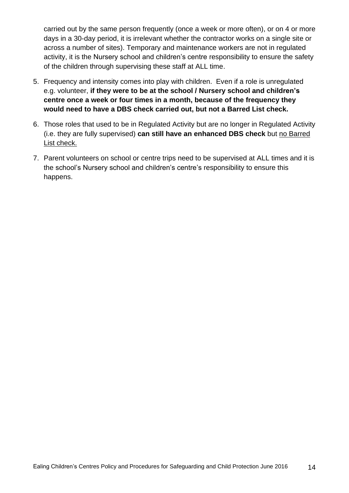carried out by the same person frequently (once a week or more often), or on 4 or more days in a 30-day period, it is irrelevant whether the contractor works on a single site or across a number of sites). Temporary and maintenance workers are not in regulated activity, it is the Nursery school and children's centre responsibility to ensure the safety of the children through supervising these staff at ALL time.

- 5. Frequency and intensity comes into play with children. Even if a role is unregulated e.g. volunteer, **if they were to be at the school / Nursery school and children's centre once a week or four times in a month, because of the frequency they would need to have a DBS check carried out, but not a Barred List check.**
- 6. Those roles that used to be in Regulated Activity but are no longer in Regulated Activity (i.e. they are fully supervised) **can still have an enhanced DBS check** but no Barred List check.
- 7. Parent volunteers on school or centre trips need to be supervised at ALL times and it is the school's Nursery school and children's centre's responsibility to ensure this happens.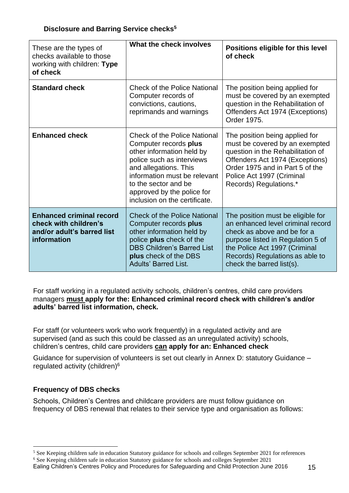| These are the types of<br>checks available to those<br>working with children: Type<br>of check        | What the check involves                                                                                                                                                                                                                                                | Positions eligible for this level<br>of check                                                                                                                                                                                               |
|-------------------------------------------------------------------------------------------------------|------------------------------------------------------------------------------------------------------------------------------------------------------------------------------------------------------------------------------------------------------------------------|---------------------------------------------------------------------------------------------------------------------------------------------------------------------------------------------------------------------------------------------|
| <b>Standard check</b>                                                                                 | <b>Check of the Police National</b><br>Computer records of<br>convictions, cautions,<br>reprimands and warnings                                                                                                                                                        | The position being applied for<br>must be covered by an exempted<br>question in the Rehabilitation of<br>Offenders Act 1974 (Exceptions)<br>Order 1975.                                                                                     |
| <b>Enhanced check</b>                                                                                 | <b>Check of the Police National</b><br>Computer records plus<br>other information held by<br>police such as interviews<br>and allegations. This<br>information must be relevant<br>to the sector and be<br>approved by the police for<br>inclusion on the certificate. | The position being applied for<br>must be covered by an exempted<br>question in the Rehabilitation of<br>Offenders Act 1974 (Exceptions)<br>Order 1975 and in Part 5 of the<br>Police Act 1997 (Criminal<br>Records) Regulations.*          |
| <b>Enhanced criminal record</b><br>check with children's<br>and/or adult's barred list<br>information | <b>Check of the Police National</b><br>Computer records plus<br>other information held by<br>police plus check of the<br><b>DBS Children's Barred List</b><br>plus check of the DBS<br><b>Adults' Barred List.</b>                                                     | The position must be eligible for<br>an enhanced level criminal record<br>check as above and be for a<br>purpose listed in Regulation 5 of<br>the Police Act 1997 (Criminal<br>Records) Regulations as able to<br>check the barred list(s). |

For staff working in a regulated activity schools, children's centres, child care providers managers **must apply for the: Enhanced criminal record check with children's and/or adults' barred list information, check.**

For staff (or volunteers work who work frequently) in a regulated activity and are supervised (and as such this could be classed as an unregulated activity) schools, children's centres, child care providers **can apply for an: Enhanced check**

Guidance for supervision of volunteers is set out clearly in Annex D: statutory Guidance – regulated activity (children)<sup>6</sup>

# **Frequency of DBS checks**

Schools, Children's Centres and childcare providers are must follow guidance on frequency of DBS renewal that relates to their service type and organisation as follows:

<sup>&</sup>lt;sup>5</sup> See Keeping children safe in education Statutory guidance for schools and colleges September 2021 for references

Ealing Children's Centres Policy and Procedures for Safeguarding and Child Protection June 2016 15 <sup>6</sup> See Keeping children safe in education Statutory guidance for schools and colleges September 2021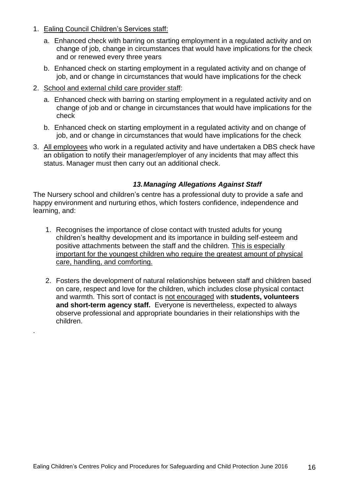- 1. Ealing Council Children's Services staff:
	- a. Enhanced check with barring on starting employment in a regulated activity and on change of job, change in circumstances that would have implications for the check and or renewed every three years
	- b. Enhanced check on starting employment in a regulated activity and on change of job, and or change in circumstances that would have implications for the check
- 2. School and external child care provider staff:

.

- a. Enhanced check with barring on starting employment in a regulated activity and on change of job and or change in circumstances that would have implications for the check
- b. Enhanced check on starting employment in a regulated activity and on change of job, and or change in circumstances that would have implications for the check
- 3. All employees who work in a regulated activity and have undertaken a DBS check have an obligation to notify their manager/employer of any incidents that may affect this status. Manager must then carry out an additional check.

# *13.Managing Allegations Against Staff*

<span id="page-15-0"></span>The Nursery school and children's centre has a professional duty to provide a safe and happy environment and nurturing ethos, which fosters confidence, independence and learning, and:

- 1. Recognises the importance of close contact with trusted adults for young children's healthy development and its importance in building self-esteem and positive attachments between the staff and the children. This is especially important for the youngest children who require the greatest amount of physical care, handling, and comforting.
- 2. Fosters the development of natural relationships between staff and children based on care, respect and love for the children, which includes close physical contact and warmth. This sort of contact is not encouraged with **students, volunteers and short-term agency staff.** Everyone is nevertheless, expected to always observe professional and appropriate boundaries in their relationships with the children.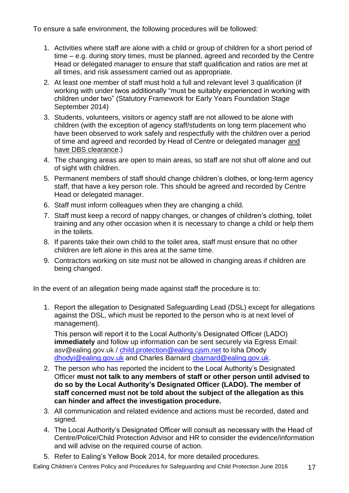To ensure a safe environment, the following procedures will be followed:

- 1. Activities where staff are alone with a child or group of children for a short period of time – e.g. during story times, must be planned, agreed and recorded by the Centre Head or delegated manager to ensure that staff qualification and ratios are met at all times, and risk assessment carried out as appropriate.
- 2. At least one member of staff must hold a full and relevant level 3 qualification (if working with under twos additionally "must be suitably experienced in working with children under two" (Statutory Framework for Early Years Foundation Stage September 2014)
- 3. Students, volunteers, visitors or agency staff are not allowed to be alone with children (with the exception of agency staff/students on long term placement who have been observed to work safely and respectfully with the children over a period of time and agreed and recorded by Head of Centre or delegated manager and have DBS clearance.)
- 4. The changing areas are open to main areas, so staff are not shut off alone and out of sight with children.
- 5. Permanent members of staff should change children's clothes, or long-term agency staff, that have a key person role. This should be agreed and recorded by Centre Head or delegated manager.
- 6. Staff must inform colleagues when they are changing a child.
- 7. Staff must keep a record of nappy changes, or changes of children's clothing, toilet training and any other occasion when it is necessary to change a child or help them in the toilets.
- 8. If parents take their own child to the toilet area, staff must ensure that no other children are left alone in this area at the same time.
- 9. Contractors working on site must not be allowed in changing areas if children are being changed.

In the event of an allegation being made against staff the procedure is to:

1. Report the allegation to Designated Safeguarding Lead (DSL) except for allegations against the DSL, which must be reported to the person who is at next level of management).

This person will report it to the Local Authority's Designated Officer (LADO) **immediately** and follow up information can be sent securely via Egress Email: asv@ealing.gov.uk / child.protection@ealing.cism.net to Isha Dhody [dhodyi@ealing.gov.uk](mailto:dhodyi@ealing.gov.uk) and Charles Barnard [cbarnard@ealing.gov.uk.](mailto:cbarnard@ealing.gov.uk)

- 2. The person who has reported the incident to the Local Authority's Designated Officer **must not talk to any members of staff or other person until advised to do so by the Local Authority's Designated Officer (LADO). The member of staff concerned must not be told about the subject of the allegation as this can hinder and affect the investigation procedure.**
- 3. All communication and related evidence and actions must be recorded, dated and signed.
- 4. The Local Authority's Designated Officer will consult as necessary with the Head of Centre/Police/Child Protection Advisor and HR to consider the evidence/information and will advise on the required course of action.
- 5. Refer to Ealing's Yellow Book 2014, for more detailed procedures.

Ealing Children's Centres Policy and Procedures for Safeguarding and Child Protection June 2016 17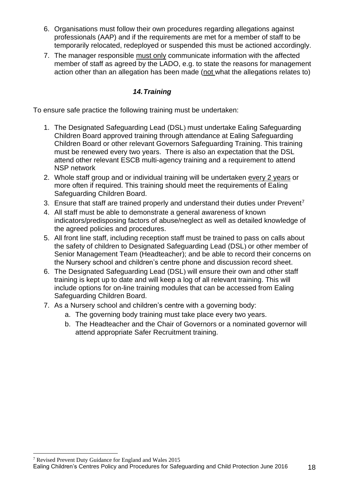- 6. Organisations must follow their own procedures regarding allegations against professionals (AAP) and if the requirements are met for a member of staff to be temporarily relocated, redeployed or suspended this must be actioned accordingly.
- 7. The manager responsible must only communicate information with the affected member of staff as agreed by the LADO, e.g. to state the reasons for management action other than an allegation has been made (not what the allegations relates to)

# *14.Training*

<span id="page-17-0"></span>To ensure safe practice the following training must be undertaken:

- 1. The Designated Safeguarding Lead (DSL) must undertake Ealing Safeguarding Children Board approved training through attendance at Ealing Safeguarding Children Board or other relevant Governors Safeguarding Training. This training must be renewed every two years. There is also an expectation that the DSL attend other relevant ESCB multi-agency training and a requirement to attend NSP network
- 2. Whole staff group and or individual training will be undertaken every 2 years or more often if required. This training should meet the requirements of Ealing Safeguarding Children Board.
- 3. Ensure that staff are trained properly and understand their duties under Prevent<sup>7</sup>
- 4. All staff must be able to demonstrate a general awareness of known indicators/predisposing factors of abuse/neglect as well as detailed knowledge of the agreed policies and procedures.
- 5. All front line staff, including reception staff must be trained to pass on calls about the safety of children to Designated Safeguarding Lead (DSL) or other member of Senior Management Team (Headteacher); and be able to record their concerns on the Nursery school and children's centre phone and discussion record sheet.
- 6. The Designated Safeguarding Lead (DSL) will ensure their own and other staff training is kept up to date and will keep a log of all relevant training. This will include options for on-line training modules that can be accessed from Ealing Safeguarding Children Board.
- 7. As a Nursery school and children's centre with a governing body:
	- a. The governing body training must take place every two years.
	- b. The Headteacher and the Chair of Governors or a nominated governor will attend appropriate Safer Recruitment training.

<sup>7</sup> Revised Prevent Duty Guidance for England and Wales 2015

Ealing Children's Centres Policy and Procedures for Safeguarding and Child Protection June 2016 18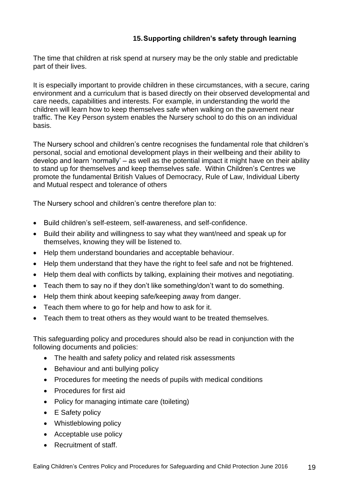# **15.Supporting children's safety through learning**

The time that children at risk spend at nursery may be the only stable and predictable part of their lives.

It is especially important to provide children in these circumstances, with a secure, caring environment and a curriculum that is based directly on their observed developmental and care needs, capabilities and interests. For example, in understanding the world the children will learn how to keep themselves safe when walking on the pavement near traffic. The Key Person system enables the Nursery school to do this on an individual basis.

The Nursery school and children's centre recognises the fundamental role that children's personal, social and emotional development plays in their wellbeing and their ability to develop and learn 'normally' – as well as the potential impact it might have on their ability to stand up for themselves and keep themselves safe. Within Children's Centres we promote the fundamental British Values of Democracy, Rule of Law, Individual Liberty and Mutual respect and tolerance of others

The Nursery school and children's centre therefore plan to:

- Build children's self-esteem, self-awareness, and self-confidence.
- Build their ability and willingness to say what they want/need and speak up for themselves, knowing they will be listened to.
- Help them understand boundaries and acceptable behaviour.
- Help them understand that they have the right to feel safe and not be frightened.
- Help them deal with conflicts by talking, explaining their motives and negotiating.
- Teach them to say no if they don't like something/don't want to do something.
- Help them think about keeping safe/keeping away from danger.
- Teach them where to go for help and how to ask for it.
- Teach them to treat others as they would want to be treated themselves.

This safeguarding policy and procedures should also be read in conjunction with the following documents and policies:

- The health and safety policy and related risk assessments
- Behaviour and anti bullying policy
- Procedures for meeting the needs of pupils with medical conditions
- Procedures for first aid
- Policy for managing intimate care (toileting)
- E Safety policy
- Whistleblowing policy
- Acceptable use policy
- Recruitment of staff.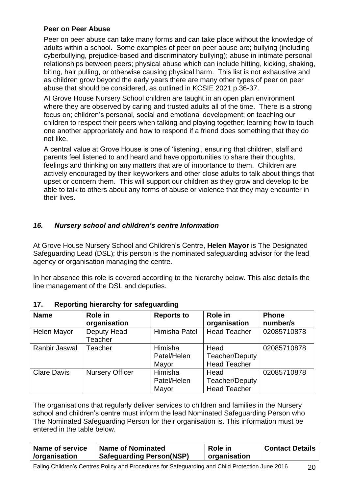# **Peer on Peer Abuse**

Peer on peer abuse can take many forms and can take place without the knowledge of adults within a school. Some examples of peer on peer abuse are; bullying (including cyberbullying, prejudice-based and discriminatory bullying); abuse in intimate personal relationships between peers; physical abuse which can include hitting, kicking, shaking, biting, hair pulling, or otherwise causing physical harm. This list is not exhaustive and as children grow beyond the early years there are many other types of peer on peer abuse that should be considered, as outlined in KCSIE 2021 p.36-37.

At Grove House Nursery School children are taught in an open plan environment where they are observed by caring and trusted adults all of the time. There is a strong focus on; children's personal, social and emotional development; on teaching our children to respect their peers when talking and playing together; learning how to touch one another appropriately and how to respond if a friend does something that they do not like.

A central value at Grove House is one of 'listening', ensuring that children, staff and parents feel listened to and heard and have opportunities to share their thoughts, feelings and thinking on any matters that are of importance to them. Children are actively encouraged by their keyworkers and other close adults to talk about things that upset or concern them. This will support our children as they grow and develop to be able to talk to others about any forms of abuse or violence that they may encounter in their lives.

# <span id="page-19-0"></span>*16. Nursery school and children's centre Information*

At Grove House Nursery School and Children's Centre, **Helen Mayor** is The Designated Safeguarding Lead (DSL); this person is the nominated safeguarding advisor for the lead agency or organisation managing the centre.

In her absence this role is covered according to the hierarchy below. This also details the line management of the DSL and deputies.

| <b>Name</b>        | Role in<br>organisation       | <b>Reports to</b>               | Role in<br>organisation                       | <b>Phone</b><br>number/s |
|--------------------|-------------------------------|---------------------------------|-----------------------------------------------|--------------------------|
| Helen Mayor        | Deputy Head<br><b>Teacher</b> | Himisha Patel                   | <b>Head Teacher</b>                           | 02085710878              |
| Ranbir Jaswal      | Teacher                       | Himisha<br>Patel/Helen<br>Mayor | Head<br>Teacher/Deputy<br><b>Head Teacher</b> | 02085710878              |
| <b>Clare Davis</b> | <b>Nursery Officer</b>        | Himisha<br>Patel/Helen<br>Mayor | Head<br>Teacher/Deputy<br><b>Head Teacher</b> | 02085710878              |

## <span id="page-19-1"></span>**17. Reporting hierarchy for safeguarding**

The organisations that regularly deliver services to children and families in the Nursery school and children's centre must inform the lead Nominated Safeguarding Person who The Nominated Safeguarding Person for their organisation is. This information must be entered in the table below.

| Name of service | <b>Name of Nominated</b>        | <b>Role in</b> | Contact Details |
|-----------------|---------------------------------|----------------|-----------------|
| /organisation   | <b>Safeguarding Person(NSP)</b> | organisation   |                 |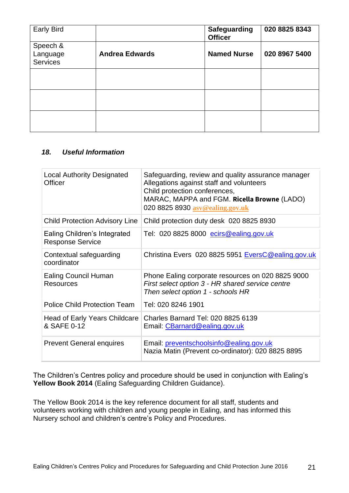| <b>Early Bird</b>                       |                       | <b>Safeguarding</b><br><b>Officer</b> | 020 8825 8343 |
|-----------------------------------------|-----------------------|---------------------------------------|---------------|
| Speech &<br>Language<br><b>Services</b> | <b>Andrea Edwards</b> | <b>Named Nurse</b>                    | 020 8967 5400 |
|                                         |                       |                                       |               |
|                                         |                       |                                       |               |
|                                         |                       |                                       |               |

# <span id="page-20-0"></span>*18. Useful Information*

| <b>Local Authority Designated</b><br>Officer            | Safeguarding, review and quality assurance manager<br>Allegations against staff and volunteers<br>Child protection conferences,<br>MARAC, MAPPA and FGM. Ricella Browne (LADO)<br>020 8825 8930 asv@ealing.gov.uk |
|---------------------------------------------------------|-------------------------------------------------------------------------------------------------------------------------------------------------------------------------------------------------------------------|
| <b>Child Protection Advisory Line</b>                   | Child protection duty desk 020 8825 8930                                                                                                                                                                          |
| Ealing Children's Integrated<br><b>Response Service</b> | Tel: 020 8825 8000 ecirs@ealing.gov.uk                                                                                                                                                                            |
| Contextual safeguarding<br>coordinator                  | Christina Evers 020 8825 5951 EversC@ealing.gov.uk                                                                                                                                                                |
| <b>Ealing Council Human</b><br><b>Resources</b>         | Phone Ealing corporate resources on 020 8825 9000<br>First select option 3 - HR shared service centre<br>Then select option 1 - schools HR                                                                        |
| <b>Police Child Protection Team</b>                     | Tel: 020 8246 1901                                                                                                                                                                                                |
| Head of Early Years Childcare<br>& SAFE 0-12            | Charles Barnard Tel: 020 8825 6139<br>Email: CBarnard@ealing.gov.uk                                                                                                                                               |
| <b>Prevent General enquires</b>                         | Email: preventschoolsinfo@ealing.gov.uk<br>Nazia Matin (Prevent co-ordinator): 020 8825 8895                                                                                                                      |

The Children's Centres policy and procedure should be used in conjunction with Ealing's Yellow Book 2014 (Ealing Safeguarding Children Guidance).

The Yellow Book 2014 is the key reference document for all staff, students and volunteers working with children and young people in Ealing, and has informed this Nursery school and children's centre's Policy and Procedures.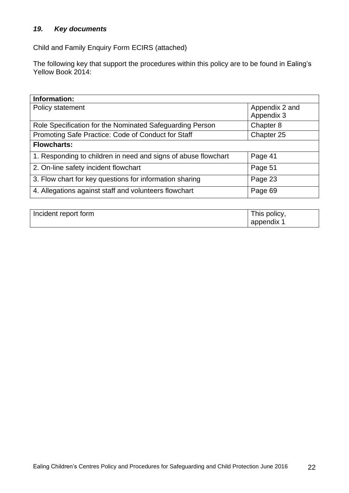# <span id="page-21-0"></span>*19. Key documents*

Child and Family Enquiry Form ECIRS (attached)

The following key that support the procedures within this policy are to be found in Ealing's Yellow Book 2014:

| Information:                                                   |                |
|----------------------------------------------------------------|----------------|
| Policy statement                                               | Appendix 2 and |
|                                                                | Appendix 3     |
| Role Specification for the Nominated Safeguarding Person       | Chapter 8      |
| Promoting Safe Practice: Code of Conduct for Staff             | Chapter 25     |
| <b>Flowcharts:</b>                                             |                |
| 1. Responding to children in need and signs of abuse flowchart | Page 41        |
| 2. On-line safety incident flowchart                           | Page 51        |
| 3. Flow chart for key questions for information sharing        | Page 23        |
| 4. Allegations against staff and volunteers flowchart          | Page 69        |

| Incident report form | This policy, |
|----------------------|--------------|
|                      | appendix 1   |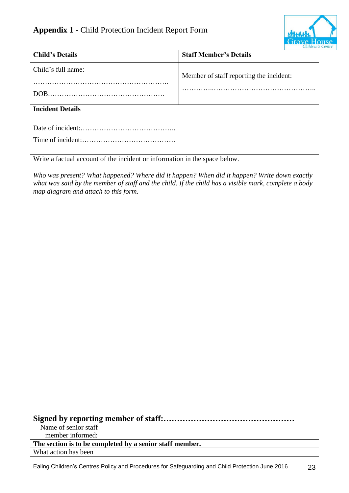

| <b>Child's Details</b>                                                                                                                                                                                                                      | <b>Staff Member's Details</b>           | Children . |
|---------------------------------------------------------------------------------------------------------------------------------------------------------------------------------------------------------------------------------------------|-----------------------------------------|------------|
| Child's full name:                                                                                                                                                                                                                          | Member of staff reporting the incident: |            |
|                                                                                                                                                                                                                                             |                                         |            |
| <b>Incident Details</b>                                                                                                                                                                                                                     |                                         |            |
|                                                                                                                                                                                                                                             |                                         |            |
|                                                                                                                                                                                                                                             |                                         |            |
|                                                                                                                                                                                                                                             |                                         |            |
| Write a factual account of the incident or information in the space below.                                                                                                                                                                  |                                         |            |
| Who was present? What happened? Where did it happen? When did it happen? Write down exactly<br>what was said by the member of staff and the child. If the child has a visible mark, complete a body<br>map diagram and attach to this form. |                                         |            |
|                                                                                                                                                                                                                                             |                                         |            |
|                                                                                                                                                                                                                                             |                                         |            |
|                                                                                                                                                                                                                                             |                                         |            |
|                                                                                                                                                                                                                                             |                                         |            |
|                                                                                                                                                                                                                                             |                                         |            |
|                                                                                                                                                                                                                                             |                                         |            |
|                                                                                                                                                                                                                                             |                                         |            |
|                                                                                                                                                                                                                                             |                                         |            |
|                                                                                                                                                                                                                                             |                                         |            |
|                                                                                                                                                                                                                                             |                                         |            |
|                                                                                                                                                                                                                                             |                                         |            |
|                                                                                                                                                                                                                                             |                                         |            |
|                                                                                                                                                                                                                                             |                                         |            |
|                                                                                                                                                                                                                                             |                                         |            |
|                                                                                                                                                                                                                                             |                                         |            |
|                                                                                                                                                                                                                                             |                                         |            |
|                                                                                                                                                                                                                                             |                                         |            |
|                                                                                                                                                                                                                                             |                                         |            |
|                                                                                                                                                                                                                                             |                                         |            |
|                                                                                                                                                                                                                                             |                                         |            |
|                                                                                                                                                                                                                                             |                                         |            |
|                                                                                                                                                                                                                                             |                                         |            |
| Name of senior staff                                                                                                                                                                                                                        |                                         |            |
| member informed:                                                                                                                                                                                                                            |                                         |            |
| The section is to be completed by a senior staff member.                                                                                                                                                                                    |                                         |            |
| What action has been                                                                                                                                                                                                                        |                                         |            |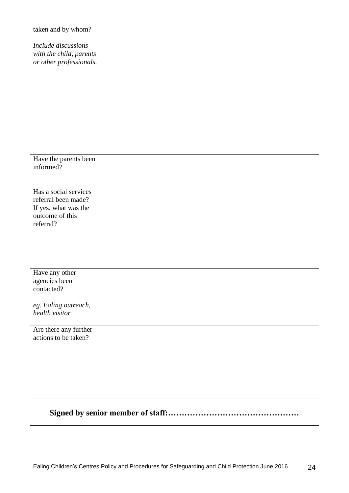| taken and by whom?                            |  |
|-----------------------------------------------|--|
| Include discussions                           |  |
| with the child, parents                       |  |
| or other professionals.                       |  |
|                                               |  |
|                                               |  |
|                                               |  |
|                                               |  |
|                                               |  |
|                                               |  |
|                                               |  |
| Have the parents been                         |  |
| informed?                                     |  |
|                                               |  |
| Has a social services                         |  |
| referral been made?                           |  |
| If yes, what was the<br>outcome of this       |  |
| referral?                                     |  |
|                                               |  |
|                                               |  |
|                                               |  |
|                                               |  |
| Have any other<br>agencies been               |  |
| contacted?                                    |  |
| eg. Ealing outreach,                          |  |
| health visitor                                |  |
|                                               |  |
| Are there any further<br>actions to be taken? |  |
|                                               |  |
|                                               |  |
|                                               |  |
|                                               |  |
|                                               |  |
|                                               |  |
|                                               |  |
|                                               |  |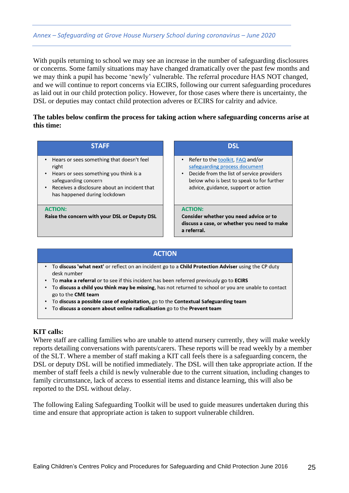With pupils returning to school we may see an increase in the number of safeguarding disclosures or concerns. Some family situations may have changed dramatically over the past few months and we may think a pupil has become 'newly' vulnerable. The referral procedure HAS NOT changed, and we will continue to report concerns via ECIRS, following our current safeguarding procedures as laid out in our child protection policy. However, for those cases where there is uncertainty, the DSL or deputies may contact child protection adveres or ECIRS for calrity and advice.

### **The tables below confirm the process for taking action where safeguarding concerns arise at this time:**

| <b>STAFF</b>                                                                                                                                                                                             | <b>DSL</b>                                                                                                                                                                                                        |
|----------------------------------------------------------------------------------------------------------------------------------------------------------------------------------------------------------|-------------------------------------------------------------------------------------------------------------------------------------------------------------------------------------------------------------------|
| • Hears or sees something that doesn't feel<br>right<br>• Hears or sees something you think is a<br>safeguarding concern<br>Receives a disclosure about an incident that<br>has happened during lockdown | • Refer to the toolkit, FAQ and/or<br>safeguarding process document<br>Decide from the list of service providers<br>$\bullet$<br>below who is best to speak to for further<br>advice, guidance, support or action |
| <b>ACTION:</b><br>Raise the concern with your DSL or Deputy DSL                                                                                                                                          | <b>ACTION:</b><br>Consider whether you need advice or to<br>discuss a case, or whether you need to make<br>a referral.                                                                                            |

### **ACTION**

- . To discuss 'what next' or reflect on an incident go to a Child Protection Adviser using the CP duty desk number
- . To make a referral or to see if this incident has been referred previously go to ECIRS
- To discuss a child you think may be missing, has not returned to school or you are unable to contact go to the CME team
- To discuss a possible case of exploitation, go to the Contextual Safeguarding team
- To discuss a concern about online radicalisation go to the Prevent team

### **KIT calls:**

Where staff are calling families who are unable to attend nursery currently, they will make weekly reports detailing conversations with parents/carers. These reports will be read weekly by a member of the SLT. Where a member of staff making a KIT call feels there is a safeguarding concern, the DSL or deputy DSL will be notified immediately. The DSL will then take appropriate action. If the member of staff feels a child is newly vulnerable due to the current situation, including changes to family circumstance, lack of access to essential items and distance learning, this will also be reported to the DSL without delay.

The following Ealing Safeguarding Toolkit will be used to guide measures undertaken during this time and ensure that appropriate action is taken to support vulnerable children.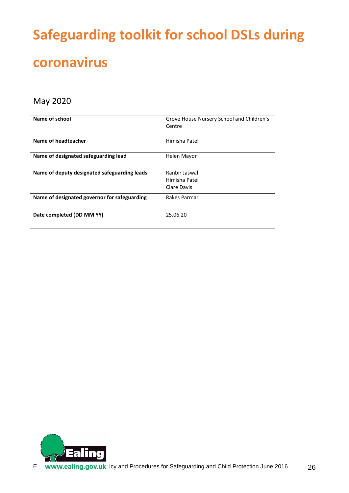# **Safeguarding toolkit for school DSLs during coronavirus**

# May 2020

| Name of school                               | Grove House Nursery School and Children's<br>Centre |
|----------------------------------------------|-----------------------------------------------------|
| Name of headteacher                          | Himisha Patel                                       |
| Name of designated safeguarding lead         | Helen Mayor                                         |
| Name of deputy designated safeguarding leads | Ranbir Jaswal<br>Himisha Patel<br>Clare Davis       |
| Name of designated governor for safeguarding | Rakes Parmar                                        |
| Date completed (DD MM YY)                    | 25.06.20                                            |

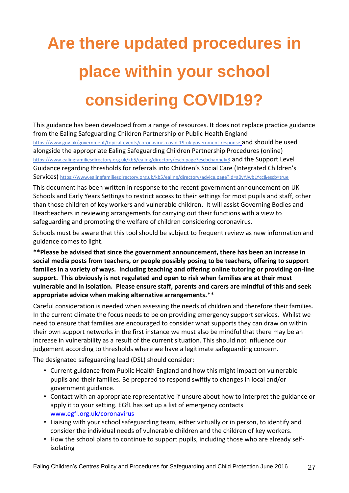# **Are there updated procedures in place within your school considering COVID19?**

This guidance has been developed from a range of resources. It does not replace practice guidance from the Ealing Safeguarding Children Partnership or Public Health England <https://www.gov.uk/government/topical-events/coronavirus-covid-19-uk-government-response> and should be used alongside the appropriate Ealing Safeguarding Children Partnership Procedures (online) <https://www.ealingfamiliesdirectory.org.uk/kb5/ealing/directory/escb.page?escbchannel=3> and the Support Level Guidance regarding thresholds for referrals into Children's Social Care (Integrated Children's Services) <https://www.ealingfamiliesdirectory.org.uk/kb5/ealing/directory/advice.page?id=a0yYJwbLYcc&escb=true>

This document has been written in response to the recent government announcement on UK Schools and Early Years Settings to restrict access to their settings for most pupils and staff, other than those children of key workers and vulnerable children. It will assist Governing Bodies and Headteachers in reviewing arrangements for carrying out their functions with a view to safeguarding and promoting the welfare of children considering coronavirus.

Schools must be aware that this tool should be subject to frequent review as new information and guidance comes to light.

**\*\*Please be advised that since the government announcement, there has been an increase in social media posts from teachers, or people possibly posing to be teachers, offering to support families in a variety of ways. Including teaching and offering online tutoring or providing on-line support. This obviously is not regulated and open to risk when families are at their most vulnerable and in isolation. Please ensure staff, parents and carers are mindful of this and seek appropriate advice when making alternative arrangements.**\*\*

Careful consideration is needed when assessing the needs of children and therefore their families. In the current climate the focus needs to be on providing emergency support services. Whilst we need to ensure that families are encouraged to consider what supports they can draw on within their own support networks in the first instance we must also be mindful that there may be an increase in vulnerability as a result of the current situation. This should not influence our judgement according to thresholds where we have a legitimate safeguarding concern.

The designated safeguarding lead (DSL) should consider:

- Current guidance from Public Health England and how this might impact on vulnerable pupils and their families. Be prepared to respond swiftly to changes in local and/or government guidance.
- Contact with an appropriate representative if unsure about how to interpret the guidance or apply it to your setting. EGfL has set up a list of emergency contacts [www.egfl.org.uk/coronavirus](http://www.egfl.org.uk/coronavirus)
- Liaising with your school safeguarding team, either virtually or in person, to identify and consider the individual needs of vulnerable children and the children of key workers.
- How the school plans to continue to support pupils, including those who are already selfisolating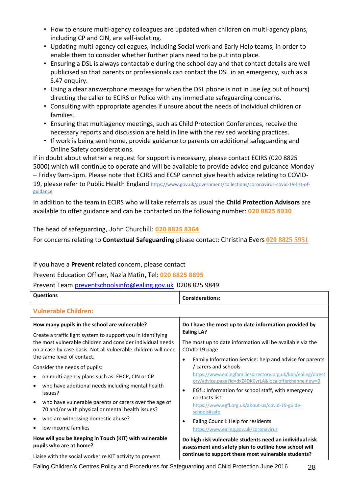- How to ensure multi-agency colleagues are updated when children on multi-agency plans, including CP and CIN, are self-isolating.
- Updating multi-agency colleagues, including Social work and Early Help teams, in order to enable them to consider whether further plans need to be put into place.
- Ensuring a DSL is always contactable during the school day and that contact details are well publicised so that parents or professionals can contact the DSL in an emergency, such as a S.47 enquiry.
- Using a clear answerphone message for when the DSL phone is not in use (eg out of hours) directing the caller to ECIRS or Police with any immediate safeguarding concerns.
- Consulting with appropriate agencies if unsure about the needs of individual children or families.
- Ensuring that multiagency meetings, such as Child Protection Conferences, receive the necessary reports and discussion are held in line with the revised working practices.
- If work is being sent home, provide guidance to parents on additional safeguarding and Online Safety considerations.

If in doubt about whether a request for support is necessary, please contact ECIRS (020 8825 5000) which will continue to operate and will be available to provide advice and guidance Monday – Friday 9am-5pm. Please note that ECIRS and ECSP cannot give health advice relating to COVID-19, please refer to Public Health England [https://www.gov.uk/government/collections/coronavirus-covid-19-list-of](https://www.gov.uk/government/collections/coronavirus-covid-19-list-of-guidance)[guidance](https://www.gov.uk/government/collections/coronavirus-covid-19-list-of-guidance)

In addition to the team in ECIRS who will take referrals as usual the **Child Protection Advisors** are available to offer guidance and can be contacted on the following number: **020 [8825](tel:020%208825%208930) 8930**

The head of safeguarding, John Churchill: **020 8825 [8364](tel:020%208825%208364)**

For concerns relating to **Contextual Safeguarding** please contact: Christina Evers **020 [8825](tel:020%208825%205951) 5951**

If you have a **Prevent** related concern, please contact

Prevent Education Officer, Nazia Matin, Tel: **020 8825 [8895](tel:020%208825%208895)**

Prevent Team [preventschoolsinfo@ealing.gov.uk](mailto:preventschoolsinfo@ealing.gov.uk) 0208 825 9849

| <b>Questions</b>                                                                                                                                                                                                                             | <b>Considerations:</b>                                                                                                                                                           |
|----------------------------------------------------------------------------------------------------------------------------------------------------------------------------------------------------------------------------------------------|----------------------------------------------------------------------------------------------------------------------------------------------------------------------------------|
| <b>Vulnerable Children:</b>                                                                                                                                                                                                                  |                                                                                                                                                                                  |
| How many pupils in the school are vulnerable?<br>Create a traffic light system to support you in identifying<br>the most vulnerable children and consider individual needs<br>on a case by case basis. Not all vulnerable children will need | Do I have the most up to date information provided by<br><b>Ealing LA?</b><br>The most up to date information will be available via the<br>COVID 19 page                         |
| the same level of contact.<br>Consider the needs of pupils:                                                                                                                                                                                  | Family Information Service: help and advice for parents<br>٠<br>/ carers and schools                                                                                             |
| on multi-agency plans such as: EHCP, CIN or CP<br>$\bullet$<br>who have additional needs including mental health<br>$\bullet$                                                                                                                | https://www.ealingfamiliesdirectory.org.uk/kb5/ealing/direct<br>ory/advice.page?id=dxZ4DKCyrLA&localofferchannelnew=0<br>EGfL: Information for school staff, with emergency<br>٠ |
| issues?<br>who have vulnerable parents or carers over the age of<br>$\bullet$<br>70 and/or with physical or mental health issues?                                                                                                            | contacts list<br>https://www.egfl.org.uk/about-us/covid-19-guide-<br>schools#safe                                                                                                |
| who are witnessing domestic abuse?<br>$\bullet$<br>low income families<br>٠                                                                                                                                                                  | Ealing Council: Help for residents<br>٠                                                                                                                                          |
| How will you be Keeping in Touch (KIT) with vulnerable<br>pupils who are at home?                                                                                                                                                            | https://www.ealing.gov.uk/coronavirus<br>Do high risk vulnerable students need an individual risk<br>assessment and safety plan to outline how school will                       |
| Liaise with the social worker re KIT activity to prevent                                                                                                                                                                                     | continue to support these most vulnerable students?                                                                                                                              |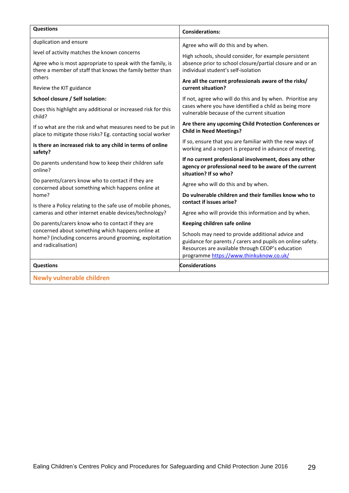| <b>Questions</b>                                                                                                                    | <b>Considerations:</b>                                                                                                                                                                                         |  |
|-------------------------------------------------------------------------------------------------------------------------------------|----------------------------------------------------------------------------------------------------------------------------------------------------------------------------------------------------------------|--|
| duplication and ensure                                                                                                              | Agree who will do this and by when.                                                                                                                                                                            |  |
| level of activity matches the known concerns                                                                                        | High schools, should consider, for example persistent                                                                                                                                                          |  |
| Agree who is most appropriate to speak with the family, is<br>there a member of staff that knows the family better than             | absence prior to school closure/partial closure and or an<br>individual student's self-isolation                                                                                                               |  |
| others                                                                                                                              | Are all the current professionals aware of the risks/                                                                                                                                                          |  |
| Review the KIT guidance                                                                                                             | current situation?                                                                                                                                                                                             |  |
| School closure / Self Isolation:                                                                                                    | If not, agree who will do this and by when. Prioritise any                                                                                                                                                     |  |
| Does this highlight any additional or increased risk for this<br>child?                                                             | cases where you have identified a child as being more<br>vulnerable because of the current situation                                                                                                           |  |
| If so what are the risk and what measures need to be put in<br>place to mitigate those risks? Eg. contacting social worker          | Are there any upcoming Child Protection Conferences or<br><b>Child in Need Meetings?</b>                                                                                                                       |  |
| Is there an increased risk to any child in terms of online<br>safety?                                                               | If so, ensure that you are familiar with the new ways of<br>working and a report is prepared in advance of meeting.                                                                                            |  |
| Do parents understand how to keep their children safe<br>online?                                                                    | If no current professional involvement, does any other<br>agency or professional need to be aware of the current<br>situation? If so who?                                                                      |  |
| Do parents/carers know who to contact if they are<br>concerned about something which happens online at                              | Agree who will do this and by when.                                                                                                                                                                            |  |
| home?                                                                                                                               | Do vulnerable children and their families know who to<br>contact if issues arise?                                                                                                                              |  |
| Is there a Policy relating to the safe use of mobile phones,<br>cameras and other internet enable devices/technology?               | Agree who will provide this information and by when.                                                                                                                                                           |  |
| Do parents/carers know who to contact if they are                                                                                   | Keeping children safe online                                                                                                                                                                                   |  |
| concerned about something which happens online at<br>home? (including concerns around grooming, exploitation<br>and radicalisation) | Schools may need to provide additional advice and<br>guidance for parents / carers and pupils on online safety.<br>Resources are available through CEOP's education<br>programme https://www.thinkuknow.co.uk/ |  |
| <b>Questions</b>                                                                                                                    | <b>Considerations</b>                                                                                                                                                                                          |  |
| <b>Newly vulnerable children</b>                                                                                                    |                                                                                                                                                                                                                |  |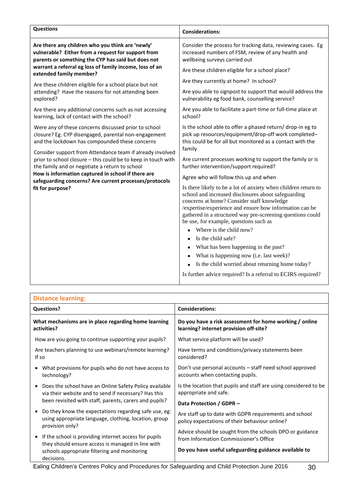| Are there any children who you think are 'newly'<br>vulnerable? Either from a request for support from<br>parents or something the CYP has said but does not<br>warrant a referral eg loss of family income, loss of an<br>extended family member?                                                                                                                                                                                                                                 | Consider the process for tracking data, reviewing cases. Eg<br>increased numbers of FSM, review of any health and<br>wellbeing surveys carried out<br>Are these children eligible for a school place?                                                                                                                                                                                                                                                                                                                                                                                                                                                                                                                                                                                                                                                                                                                                                     |
|------------------------------------------------------------------------------------------------------------------------------------------------------------------------------------------------------------------------------------------------------------------------------------------------------------------------------------------------------------------------------------------------------------------------------------------------------------------------------------|-----------------------------------------------------------------------------------------------------------------------------------------------------------------------------------------------------------------------------------------------------------------------------------------------------------------------------------------------------------------------------------------------------------------------------------------------------------------------------------------------------------------------------------------------------------------------------------------------------------------------------------------------------------------------------------------------------------------------------------------------------------------------------------------------------------------------------------------------------------------------------------------------------------------------------------------------------------|
| Are these children eligible for a school place but not<br>attending? Have the reasons for not attending been<br>explored?                                                                                                                                                                                                                                                                                                                                                          | Are they currently at home? In school?<br>Are you able to signpost to support that would address the<br>vulnerability eg food bank, counselling service?                                                                                                                                                                                                                                                                                                                                                                                                                                                                                                                                                                                                                                                                                                                                                                                                  |
| Are there any additional concerns such as not accessing<br>learning, lack of contact with the school?                                                                                                                                                                                                                                                                                                                                                                              | Are you able to facilitate a part-time or full-time place at<br>school?                                                                                                                                                                                                                                                                                                                                                                                                                                                                                                                                                                                                                                                                                                                                                                                                                                                                                   |
| Were any of these concerns discussed prior to school<br>closure? Eg. CYP disengaged, parental non-engagement<br>and the lockdown has compounded these concerns<br>Consider support from Attendance team if already involved<br>prior to school closure - this could be to keep in touch with<br>the family and or negotiate a return to school<br>How is information captured in school if there are<br>safeguarding concerns? Are current processes/protocols<br>fit for purpose? | Is the school able to offer a phased return/ drop-in eg to<br>pick up resources/equipment/drop-off work completed-<br>this could be for all but monitored as a contact with the<br>family<br>Are current processes working to support the family or is<br>further intervention/support required?<br>Agree who will follow this up and when<br>Is there likely to be a lot of anxiety when children return to<br>school and increased disclosures about safeguarding<br>concerns at home? Consider staff knowledge<br>/expertise/experience and ensure how information can be<br>gathered in a structured way pre-screening questions could<br>be use, for example, questions such as<br>Where is the child now?<br>Is the child safe?<br>What has been happening in the past?<br>What is happening now (i.e. last week)?<br>Is the child worried about returning home today?<br>$\bullet$<br>Is further advice required? Is a referral to ECIRS required? |

| <b>Distance learning:</b> |
|---------------------------|
|---------------------------|

| <b>Questions?</b>                                                                                                                 | <b>Considerations:</b>                                                                                   |
|-----------------------------------------------------------------------------------------------------------------------------------|----------------------------------------------------------------------------------------------------------|
| What mechanisms are in place regarding home learning                                                                              | Do you have a risk assessment for home working / online                                                  |
| activities?                                                                                                                       | learning? internet provision off-site?                                                                   |
| How are you going to continue supporting your pupils?                                                                             | What service platform will be used?                                                                      |
| Are teachers planning to use webinars/remote learning?                                                                            | Have terms and conditions/privacy statements been                                                        |
| If so                                                                                                                             | considered?                                                                                              |
| What provisions for pupils who do not have access to                                                                              | Don't use personal accounts - staff need school approved                                                 |
| technology?                                                                                                                       | accounts when contacting pupils.                                                                         |
| Does the school have an Online Safety Policy available                                                                            | Is the location that pupils and staff are using considered to be                                         |
| via their website and to send if necessary? Has this                                                                              | appropriate and safe.                                                                                    |
| been revisited with staff, parents, carers and pupils?                                                                            | Data Protection / GDPR -                                                                                 |
| Do they know the expectations regarding safe use, eg:<br>using appropriate language, clothing, location, group<br>provision only? | Are staff up to date with GDPR requirements and school<br>policy expectations of their behaviour online? |
| If the school is providing internet access for pupils                                                                             | Advice should be sought from the schools DPO or guidance                                                 |
| they should ensure access is managed in line with                                                                                 | from Information Commissioner's Office                                                                   |
| schools appropriate filtering and monitoring<br>decisions.                                                                        | Do you have useful safeguarding guidance available to                                                    |